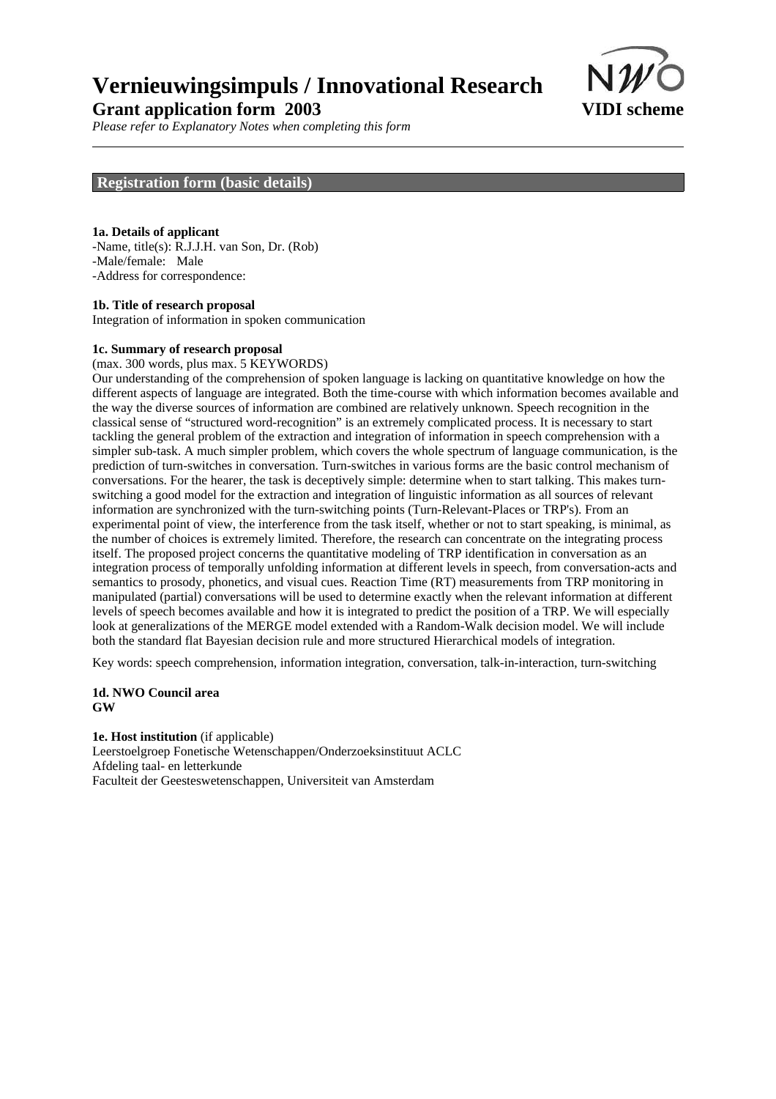

*Please refer to Explanatory Notes when completing this form*

## **Registration form (basic details)**

#### **1a. Details of applicant**

-Name, title(s): R.J.J.H. van Son, Dr. (Rob) -Male/female: Male -Address for correspondence:

#### **1b. Title of research proposal**

Integration of information in spoken communication

#### **1c. Summary of research proposal**

(max. 300 words, plus max. 5 KEYWORDS)

Our understanding of the comprehension of spoken language is lacking on quantitative knowledge on how the different aspects of language are integrated. Both the time-course with which information becomes available and the way the diverse sources of information are combined are relatively unknown. Speech recognition in the classical sense of "structured word-recognition" is an extremely complicated process. It is necessary to start tackling the general problem of the extraction and integration of information in speech comprehension with a simpler sub-task. A much simpler problem, which covers the whole spectrum of language communication, is the prediction of turn-switches in conversation. Turn-switches in various forms are the basic control mechanism of conversations. For the hearer, the task is deceptively simple: determine when to start talking. This makes turnswitching a good model for the extraction and integration of linguistic information as all sources of relevant information are synchronized with the turn-switching points (Turn-Relevant-Places or TRP's). From an experimental point of view, the interference from the task itself, whether or not to start speaking, is minimal, as the number of choices is extremely limited. Therefore, the research can concentrate on the integrating process itself. The proposed project concerns the quantitative modeling of TRP identification in conversation as an integration process of temporally unfolding information at different levels in speech, from conversation-acts and semantics to prosody, phonetics, and visual cues. Reaction Time (RT) measurements from TRP monitoring in manipulated (partial) conversations will be used to determine exactly when the relevant information at different levels of speech becomes available and how it is integrated to predict the position of a TRP. We will especially look at generalizations of the MERGE model extended with a Random-Walk decision model. We will include both the standard flat Bayesian decision rule and more structured Hierarchical models of integration.

Key words: speech comprehension, information integration, conversation, talk-in-interaction, turn-switching

#### **1d. NWO Council area GW**

**1e. Host institution** (if applicable) Leerstoelgroep Fonetische Wetenschappen/Onderzoeksinstituut ACLC Afdeling taal- en letterkunde Faculteit der Geesteswetenschappen, Universiteit van Amsterdam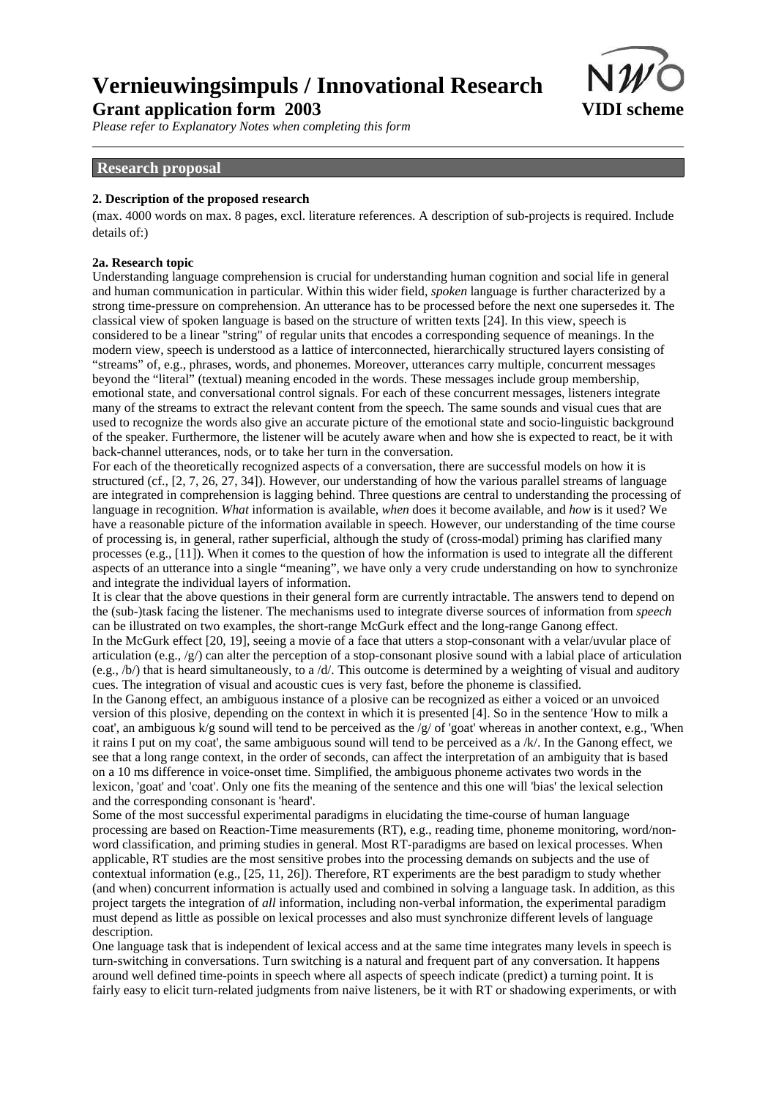

*Please refer to Explanatory Notes when completing this form*

## **Research proposal**

#### **2. Description of the proposed research**

(max. 4000 words on max. 8 pages, excl. literature references. A description of sub-projects is required. Include details of:)

#### **2a. Research topic**

Understanding language comprehension is crucial for understanding human cognition and social life in general and human communication in particular. Within this wider field, *spoken* language is further characterized by a strong time-pressure on comprehension. An utterance has to be processed before the next one supersedes it. The classical view of spoken language is based on the structure of written texts [24]. In this view, speech is considered to be a linear "string" of regular units that encodes a corresponding sequence of meanings. In the modern view, speech is understood as a lattice of interconnected, hierarchically structured layers consisting of "streams" of, e.g., phrases, words, and phonemes. Moreover, utterances carry multiple, concurrent messages beyond the "literal" (textual) meaning encoded in the words. These messages include group membership, emotional state, and conversational control signals. For each of these concurrent messages, listeners integrate many of the streams to extract the relevant content from the speech. The same sounds and visual cues that are used to recognize the words also give an accurate picture of the emotional state and socio-linguistic background of the speaker. Furthermore, the listener will be acutely aware when and how she is expected to react, be it with back-channel utterances, nods, or to take her turn in the conversation.

For each of the theoretically recognized aspects of a conversation, there are successful models on how it is structured (cf., [2, 7, 26, 27, 34]). However, our understanding of how the various parallel streams of language are integrated in comprehension is lagging behind. Three questions are central to understanding the processing of language in recognition. *What* information is available, *when* does it become available, and *how* is it used? We have a reasonable picture of the information available in speech. However, our understanding of the time course of processing is, in general, rather superficial, although the study of (cross-modal) priming has clarified many processes (e.g., [11]). When it comes to the question of how the information is used to integrate all the different aspects of an utterance into a single "meaning", we have only a very crude understanding on how to synchronize and integrate the individual layers of information.

It is clear that the above questions in their general form are currently intractable. The answers tend to depend on the (sub-)task facing the listener. The mechanisms used to integrate diverse sources of information from *speech* can be illustrated on two examples, the short-range McGurk effect and the long-range Ganong effect. In the McGurk effect [20, 19], seeing a movie of a face that utters a stop-consonant with a velar/uvular place of articulation (e.g.,  $/g$ ) can alter the perception of a stop-consonant plosive sound with a labial place of articulation  $(e.g., /b)$  that is heard simultaneously, to a  $/d$ . This outcome is determined by a weighting of visual and auditory cues. The integration of visual and acoustic cues is very fast, before the phoneme is classified.

In the Ganong effect, an ambiguous instance of a plosive can be recognized as either a voiced or an unvoiced version of this plosive, depending on the context in which it is presented [4]. So in the sentence 'How to milk a coat', an ambiguous k/g sound will tend to be perceived as the /g/ of 'goat' whereas in another context, e.g., 'When it rains I put on my coat', the same ambiguous sound will tend to be perceived as a /k/. In the Ganong effect, we see that a long range context, in the order of seconds, can affect the interpretation of an ambiguity that is based on a 10 ms difference in voice-onset time. Simplified, the ambiguous phoneme activates two words in the lexicon, 'goat' and 'coat'. Only one fits the meaning of the sentence and this one will 'bias' the lexical selection and the corresponding consonant is 'heard'.

Some of the most successful experimental paradigms in elucidating the time-course of human language processing are based on Reaction-Time measurements (RT), e.g., reading time, phoneme monitoring, word/nonword classification, and priming studies in general. Most RT-paradigms are based on lexical processes. When applicable, RT studies are the most sensitive probes into the processing demands on subjects and the use of contextual information (e.g., [25, 11, 26]). Therefore, RT experiments are the best paradigm to study whether (and when) concurrent information is actually used and combined in solving a language task. In addition, as this project targets the integration of *all* information, including non-verbal information, the experimental paradigm must depend as little as possible on lexical processes and also must synchronize different levels of language description.

One language task that is independent of lexical access and at the same time integrates many levels in speech is turn-switching in conversations. Turn switching is a natural and frequent part of any conversation. It happens around well defined time-points in speech where all aspects of speech indicate (predict) a turning point. It is fairly easy to elicit turn-related judgments from naive listeners, be it with RT or shadowing experiments, or with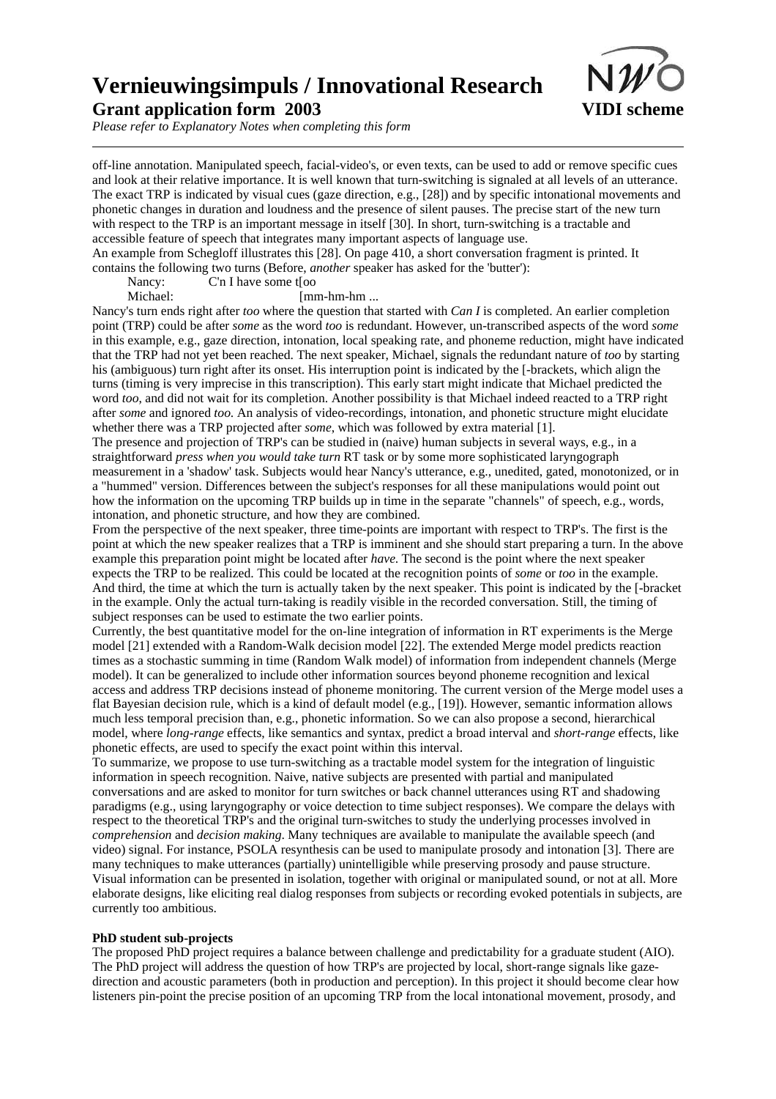

*Please refer to Explanatory Notes when completing this form*

off-line annotation. Manipulated speech, facial-video's, or even texts, can be used to add or remove specific cues and look at their relative importance. It is well known that turn-switching is signaled at all levels of an utterance. The exact TRP is indicated by visual cues (gaze direction, e.g., [28]) and by specific intonational movements and phonetic changes in duration and loudness and the presence of silent pauses. The precise start of the new turn with respect to the TRP is an important message in itself [30]. In short, turn-switching is a tractable and accessible feature of speech that integrates many important aspects of language use. An example from Schegloff illustrates this [28]. On page 410, a short conversation fragment is printed. It contains the following two turns (Before, *another* speaker has asked for the 'butter'):

Nancy: C'n I have some thou

Michael: [mm-hm-hm ...

Nancy's turn ends right after *too* where the question that started with *Can I* is completed. An earlier completion point (TRP) could be after *some* as the word *too* is redundant. However, un-transcribed aspects of the word *some* in this example, e.g., gaze direction, intonation, local speaking rate, and phoneme reduction, might have indicated that the TRP had not yet been reached. The next speaker, Michael, signals the redundant nature of *too* by starting his (ambiguous) turn right after its onset. His interruption point is indicated by the [-brackets, which align the turns (timing is very imprecise in this transcription). This early start might indicate that Michael predicted the word *too*, and did not wait for its completion. Another possibility is that Michael indeed reacted to a TRP right after *some* and ignored *too*. An analysis of video-recordings, intonation, and phonetic structure might elucidate whether there was a TRP projected after *some*, which was followed by extra material [1].

The presence and projection of TRP's can be studied in (naive) human subjects in several ways, e.g., in a straightforward *press when you would take turn* RT task or by some more sophisticated laryngograph measurement in a 'shadow' task. Subjects would hear Nancy's utterance, e.g., unedited, gated, monotonized, or in a "hummed" version. Differences between the subject's responses for all these manipulations would point out how the information on the upcoming TRP builds up in time in the separate "channels" of speech, e.g., words, intonation, and phonetic structure, and how they are combined.

From the perspective of the next speaker, three time-points are important with respect to TRP's. The first is the point at which the new speaker realizes that a TRP is imminent and she should start preparing a turn. In the above example this preparation point might be located after *have*. The second is the point where the next speaker expects the TRP to be realized. This could be located at the recognition points of *some* or *too* in the example. And third, the time at which the turn is actually taken by the next speaker. This point is indicated by the [-bracket in the example. Only the actual turn-taking is readily visible in the recorded conversation. Still, the timing of subject responses can be used to estimate the two earlier points.

Currently, the best quantitative model for the on-line integration of information in RT experiments is the Merge model [21] extended with a Random-Walk decision model [22]. The extended Merge model predicts reaction times as a stochastic summing in time (Random Walk model) of information from independent channels (Merge model). It can be generalized to include other information sources beyond phoneme recognition and lexical access and address TRP decisions instead of phoneme monitoring. The current version of the Merge model uses a flat Bayesian decision rule, which is a kind of default model (e.g., [19]). However, semantic information allows much less temporal precision than, e.g., phonetic information. So we can also propose a second, hierarchical model, where *long-range* effects, like semantics and syntax, predict a broad interval and *short-range* effects, like phonetic effects, are used to specify the exact point within this interval.

To summarize, we propose to use turn-switching as a tractable model system for the integration of linguistic information in speech recognition. Naive, native subjects are presented with partial and manipulated conversations and are asked to monitor for turn switches or back channel utterances using RT and shadowing paradigms (e.g., using laryngography or voice detection to time subject responses). We compare the delays with respect to the theoretical TRP's and the original turn-switches to study the underlying processes involved in *comprehension* and *decision making*. Many techniques are available to manipulate the available speech (and video) signal. For instance, PSOLA resynthesis can be used to manipulate prosody and intonation [3]. There are many techniques to make utterances (partially) unintelligible while preserving prosody and pause structure. Visual information can be presented in isolation, together with original or manipulated sound, or not at all. More elaborate designs, like eliciting real dialog responses from subjects or recording evoked potentials in subjects, are currently too ambitious.

#### **PhD student sub-projects**

The proposed PhD project requires a balance between challenge and predictability for a graduate student (AIO). The PhD project will address the question of how TRP's are projected by local, short-range signals like gazedirection and acoustic parameters (both in production and perception). In this project it should become clear how listeners pin-point the precise position of an upcoming TRP from the local intonational movement, prosody, and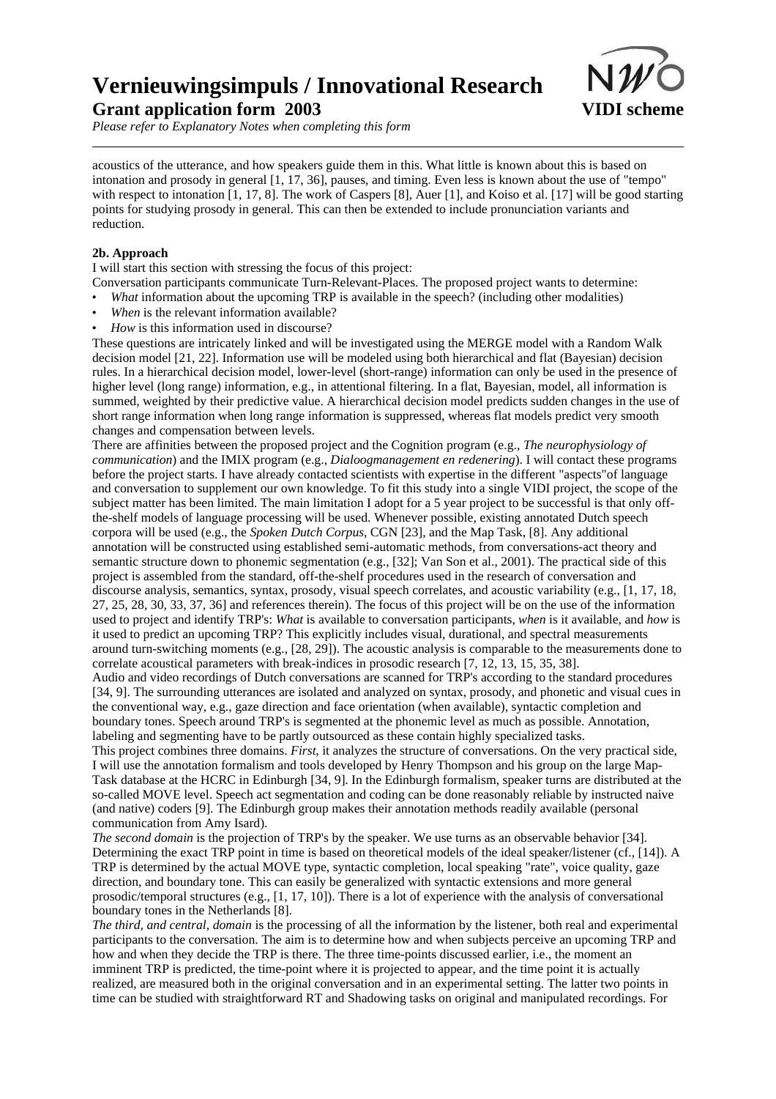

*Please refer to Explanatory Notes when completing this form*

acoustics of the utterance, and how speakers guide them in this. What little is known about this is based on intonation and prosody in general [1, 17, 36], pauses, and timing. Even less is known about the use of "tempo" with respect to intonation [1, 17, 8]. The work of Caspers [8], Auer [1], and Koiso et al. [17] will be good starting points for studying prosody in general. This can then be extended to include pronunciation variants and reduction.

### **2b. Approach**

I will start this section with stressing the focus of this project:

Conversation participants communicate Turn-Relevant-Places. The proposed project wants to determine:

- ï *What* information about the upcoming TRP is available in the speech? (including other modalities)
- ï *When* is the relevant information available?
- ï *How* is this information used in discourse?

These questions are intricately linked and will be investigated using the MERGE model with a Random Walk decision model [21, 22]. Information use will be modeled using both hierarchical and flat (Bayesian) decision rules. In a hierarchical decision model, lower-level (short-range) information can only be used in the presence of higher level (long range) information, e.g., in attentional filtering. In a flat, Bayesian, model, all information is summed, weighted by their predictive value. A hierarchical decision model predicts sudden changes in the use of short range information when long range information is suppressed, whereas flat models predict very smooth changes and compensation between levels.

There are affinities between the proposed project and the Cognition program (e.g., *The neurophysiology of communication*) and the IMIX program (e.g., *Dialoogmanagement en redenering*). I will contact these programs before the project starts. I have already contacted scientists with expertise in the different "aspects"of language and conversation to supplement our own knowledge. To fit this study into a single VIDI project, the scope of the subject matter has been limited. The main limitation I adopt for a 5 year project to be successful is that only offthe-shelf models of language processing will be used. Whenever possible, existing annotated Dutch speech corpora will be used (e.g., the *Spoken Dutch Corpus*, CGN [23], and the Map Task, [8]. Any additional annotation will be constructed using established semi-automatic methods, from conversations-act theory and semantic structure down to phonemic segmentation (e.g., [32]; Van Son et al., 2001). The practical side of this project is assembled from the standard, off-the-shelf procedures used in the research of conversation and discourse analysis, semantics, syntax, prosody, visual speech correlates, and acoustic variability (e.g., [1, 17, 18, 27, 25, 28, 30, 33, 37, 36] and references therein). The focus of this project will be on the use of the information used to project and identify TRP's: *What* is available to conversation participants, *when* is it available, and *how* is it used to predict an upcoming TRP? This explicitly includes visual, durational, and spectral measurements around turn-switching moments (e.g., [28, 29]). The acoustic analysis is comparable to the measurements done to correlate acoustical parameters with break-indices in prosodic research [7, 12, 13, 15, 35, 38].

Audio and video recordings of Dutch conversations are scanned for TRP's according to the standard procedures [34, 9]. The surrounding utterances are isolated and analyzed on syntax, prosody, and phonetic and visual cues in the conventional way, e.g., gaze direction and face orientation (when available), syntactic completion and boundary tones. Speech around TRP's is segmented at the phonemic level as much as possible. Annotation, labeling and segmenting have to be partly outsourced as these contain highly specialized tasks.

This project combines three domains. *First*, it analyzes the structure of conversations. On the very practical side, I will use the annotation formalism and tools developed by Henry Thompson and his group on the large Map-Task database at the HCRC in Edinburgh [34, 9]. In the Edinburgh formalism, speaker turns are distributed at the so-called MOVE level. Speech act segmentation and coding can be done reasonably reliable by instructed naive (and native) coders [9]. The Edinburgh group makes their annotation methods readily available (personal communication from Amy Isard).

*The second domain* is the projection of TRP's by the speaker. We use turns as an observable behavior [34]. Determining the exact TRP point in time is based on theoretical models of the ideal speaker/listener (cf., [14]). A TRP is determined by the actual MOVE type, syntactic completion, local speaking "rate", voice quality, gaze direction, and boundary tone. This can easily be generalized with syntactic extensions and more general prosodic/temporal structures (e.g., [1, 17, 10]). There is a lot of experience with the analysis of conversational boundary tones in the Netherlands [8].

*The third, and central, domain* is the processing of all the information by the listener, both real and experimental participants to the conversation. The aim is to determine how and when subjects perceive an upcoming TRP and how and when they decide the TRP is there. The three time-points discussed earlier, i.e., the moment an imminent TRP is predicted, the time-point where it is projected to appear, and the time point it is actually realized, are measured both in the original conversation and in an experimental setting. The latter two points in time can be studied with straightforward RT and Shadowing tasks on original and manipulated recordings. For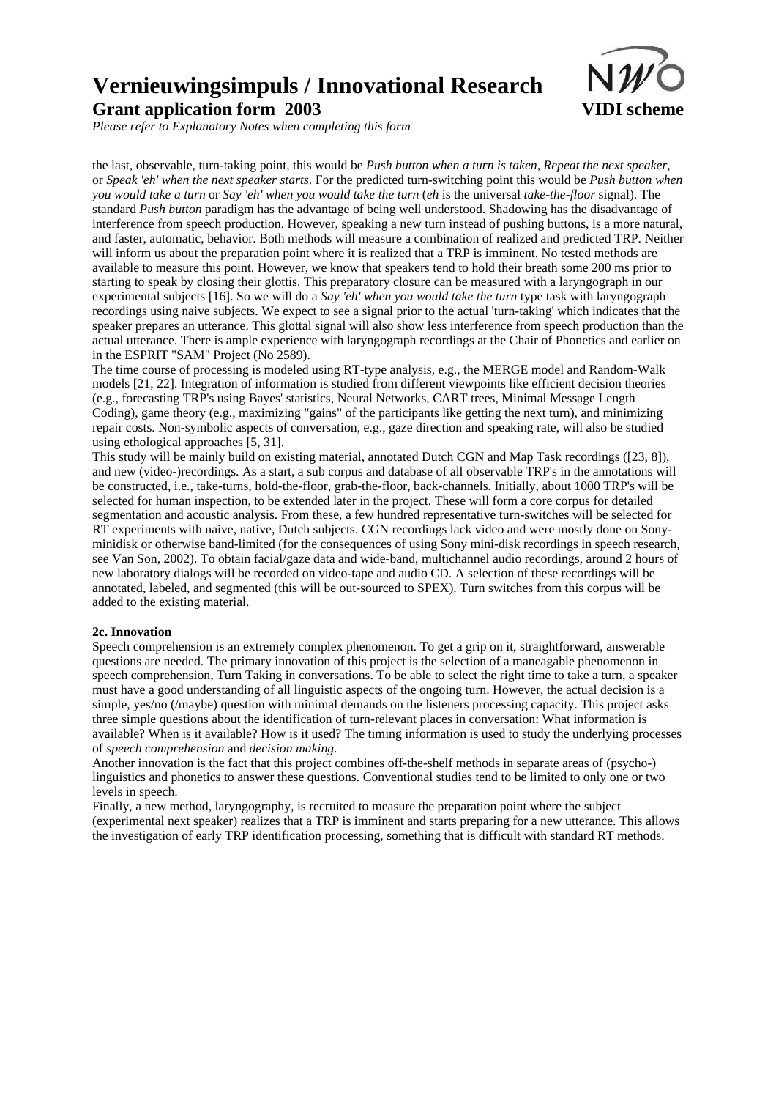

*Please refer to Explanatory Notes when completing this form*

the last, observable, turn-taking point, this would be *Push button when a turn is taken, Repeat the next speaker,* or *Speak 'eh' when the next speaker starts*. For the predicted turn-switching point this would be *Push button when you would take a turn* or *Say 'eh' when you would take the turn* (*eh* is the universal *take-the-floor* signal). The standard *Push button* paradigm has the advantage of being well understood. Shadowing has the disadvantage of interference from speech production. However, speaking a new turn instead of pushing buttons, is a more natural, and faster, automatic, behavior. Both methods will measure a combination of realized and predicted TRP. Neither will inform us about the preparation point where it is realized that a TRP is imminent. No tested methods are available to measure this point. However, we know that speakers tend to hold their breath some 200 ms prior to starting to speak by closing their glottis. This preparatory closure can be measured with a laryngograph in our experimental subjects [16]. So we will do a *Say 'eh' when you would take the turn* type task with laryngograph recordings using naive subjects. We expect to see a signal prior to the actual 'turn-taking' which indicates that the speaker prepares an utterance. This glottal signal will also show less interference from speech production than the actual utterance. There is ample experience with laryngograph recordings at the Chair of Phonetics and earlier on in the ESPRIT "SAM" Project (No 2589).

The time course of processing is modeled using RT-type analysis, e.g., the MERGE model and Random-Walk models [21, 22]. Integration of information is studied from different viewpoints like efficient decision theories (e.g., forecasting TRP's using Bayes' statistics, Neural Networks, CART trees, Minimal Message Length Coding), game theory (e.g., maximizing "gains" of the participants like getting the next turn), and minimizing repair costs. Non-symbolic aspects of conversation, e.g., gaze direction and speaking rate, will also be studied using ethological approaches [5, 31].

This study will be mainly build on existing material, annotated Dutch CGN and Map Task recordings ([23, 8]), and new (video-)recordings. As a start, a sub corpus and database of all observable TRP's in the annotations will be constructed, i.e., take-turns, hold-the-floor, grab-the-floor, back-channels. Initially, about 1000 TRP's will be selected for human inspection, to be extended later in the project. These will form a core corpus for detailed segmentation and acoustic analysis. From these, a few hundred representative turn-switches will be selected for RT experiments with naive, native, Dutch subjects. CGN recordings lack video and were mostly done on Sonyminidisk or otherwise band-limited (for the consequences of using Sony mini-disk recordings in speech research, see Van Son, 2002). To obtain facial/gaze data and wide-band, multichannel audio recordings, around 2 hours of new laboratory dialogs will be recorded on video-tape and audio CD. A selection of these recordings will be annotated, labeled, and segmented (this will be out-sourced to SPEX). Turn switches from this corpus will be added to the existing material.

#### **2c. Innovation**

Speech comprehension is an extremely complex phenomenon. To get a grip on it, straightforward, answerable questions are needed. The primary innovation of this project is the selection of a maneagable phenomenon in speech comprehension, Turn Taking in conversations. To be able to select the right time to take a turn, a speaker must have a good understanding of all linguistic aspects of the ongoing turn. However, the actual decision is a simple, yes/no (/maybe) question with minimal demands on the listeners processing capacity. This project asks three simple questions about the identification of turn-relevant places in conversation: What information is available? When is it available? How is it used? The timing information is used to study the underlying processes of *speech comprehension* and *decision making*.

Another innovation is the fact that this project combines off-the-shelf methods in separate areas of (psycho-) linguistics and phonetics to answer these questions. Conventional studies tend to be limited to only one or two levels in speech.

Finally, a new method, laryngography, is recruited to measure the preparation point where the subject (experimental next speaker) realizes that a TRP is imminent and starts preparing for a new utterance. This allows the investigation of early TRP identification processing, something that is difficult with standard RT methods.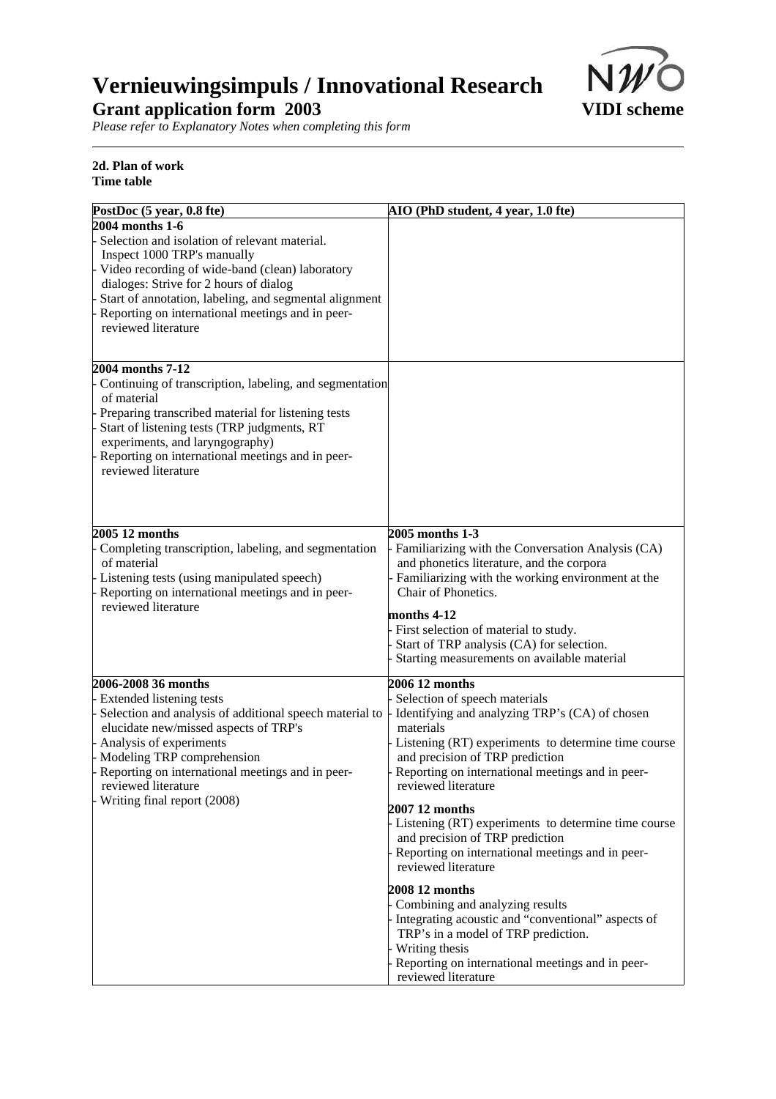

*Please refer to Explanatory Notes when completing this form*

### **2d. Plan of work Time table**

| PostDoc (5 year, 0.8 fte)                                                                                                                                                                                                                                                                                                         | AIO (PhD student, 4 year, 1.0 fte)                                                                                                                                                                                                                                                                                                                                                                                                                                                                                                                                                                                                                                                                                          |
|-----------------------------------------------------------------------------------------------------------------------------------------------------------------------------------------------------------------------------------------------------------------------------------------------------------------------------------|-----------------------------------------------------------------------------------------------------------------------------------------------------------------------------------------------------------------------------------------------------------------------------------------------------------------------------------------------------------------------------------------------------------------------------------------------------------------------------------------------------------------------------------------------------------------------------------------------------------------------------------------------------------------------------------------------------------------------------|
| 2004 months 1-6<br>Selection and isolation of relevant material.<br>Inspect 1000 TRP's manually<br>Video recording of wide-band (clean) laboratory<br>dialoges: Strive for 2 hours of dialog<br>Start of annotation, labeling, and segmental alignment<br>Reporting on international meetings and in peer-<br>reviewed literature |                                                                                                                                                                                                                                                                                                                                                                                                                                                                                                                                                                                                                                                                                                                             |
| 2004 months 7-12<br>Continuing of transcription, labeling, and segmentation<br>of material<br>Preparing transcribed material for listening tests<br>Start of listening tests (TRP judgments, RT<br>experiments, and laryngography)<br>Reporting on international meetings and in peer-<br>reviewed literature                     |                                                                                                                                                                                                                                                                                                                                                                                                                                                                                                                                                                                                                                                                                                                             |
| 2005 12 months<br>Completing transcription, labeling, and segmentation<br>of material<br>Listening tests (using manipulated speech)<br>Reporting on international meetings and in peer-<br>reviewed literature                                                                                                                    | 2005 months 1-3<br>Familiarizing with the Conversation Analysis (CA)<br>and phonetics literature, and the corpora<br>- Familiarizing with the working environment at the<br>Chair of Phonetics.<br>months 4-12<br>First selection of material to study.<br>Start of TRP analysis (CA) for selection.<br>Starting measurements on available material                                                                                                                                                                                                                                                                                                                                                                         |
| 2006-2008 36 months<br>Extended listening tests<br>Selection and analysis of additional speech material to<br>elucidate new/missed aspects of TRP's<br>Analysis of experiments<br>Modeling TRP comprehension<br>Reporting on international meetings and in peer-<br>reviewed literature<br>Writing final report (2008)            | 2006 12 months<br>Selection of speech materials<br>Identifying and analyzing TRP's (CA) of chosen<br>materials<br>Listening (RT) experiments to determine time course<br>and precision of TRP prediction<br>Reporting on international meetings and in peer-<br>reviewed literature<br>2007 12 months<br>- Listening (RT) experiments to determine time course<br>and precision of TRP prediction<br>Reporting on international meetings and in peer-<br>reviewed literature<br>2008 12 months<br>Combining and analyzing results<br>Integrating acoustic and "conventional" aspects of<br>TRP's in a model of TRP prediction.<br>Writing thesis<br>Reporting on international meetings and in peer-<br>reviewed literature |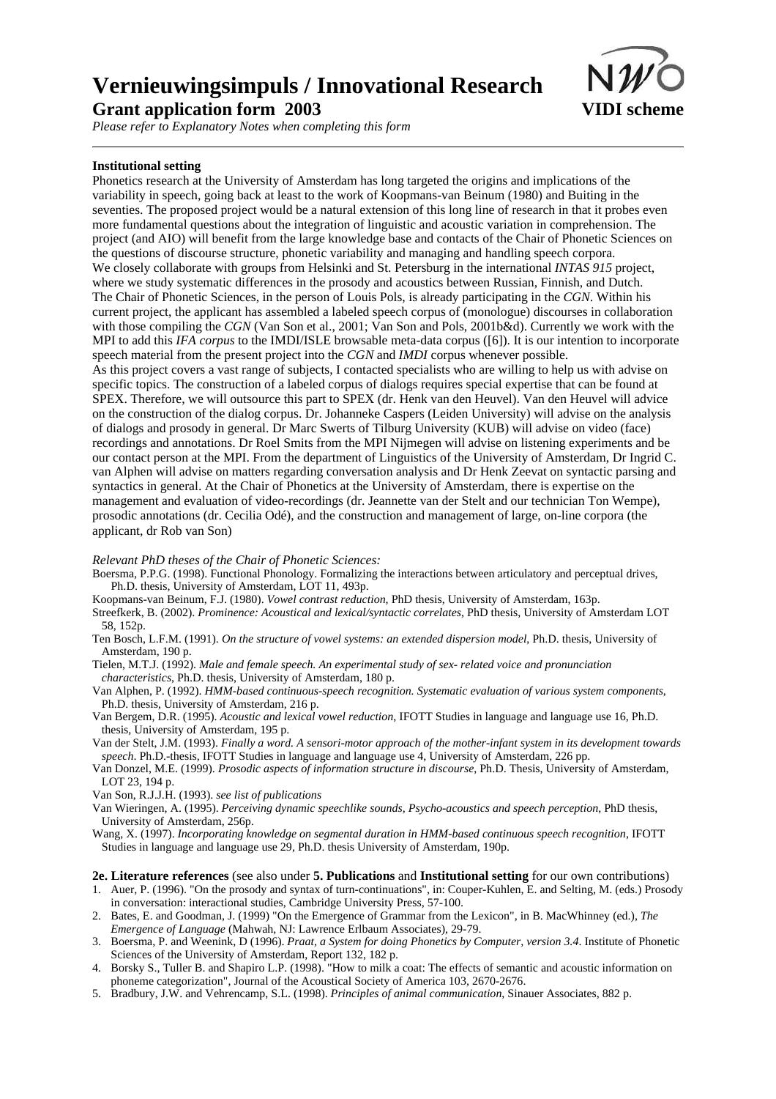*Please refer to Explanatory Notes when completing this form*

### **Institutional setting**

Phonetics research at the University of Amsterdam has long targeted the origins and implications of the variability in speech, going back at least to the work of Koopmans-van Beinum (1980) and Buiting in the seventies. The proposed project would be a natural extension of this long line of research in that it probes even more fundamental questions about the integration of linguistic and acoustic variation in comprehension. The project (and AIO) will benefit from the large knowledge base and contacts of the Chair of Phonetic Sciences on the questions of discourse structure, phonetic variability and managing and handling speech corpora. We closely collaborate with groups from Helsinki and St. Petersburg in the international *INTAS 915* project, where we study systematic differences in the prosody and acoustics between Russian, Finnish, and Dutch. The Chair of Phonetic Sciences, in the person of Louis Pols, is already participating in the *CGN*. Within his current project, the applicant has assembled a labeled speech corpus of (monologue) discourses in collaboration with those compiling the *CGN* (Van Son et al., 2001; Van Son and Pols, 2001b&d). Currently we work with the MPI to add this *IFA corpus* to the IMDI/ISLE browsable meta-data corpus ([6]). It is our intention to incorporate speech material from the present project into the *CGN* and *IMDI* corpus whenever possible. As this project covers a vast range of subjects, I contacted specialists who are willing to help us with advise on specific topics. The construction of a labeled corpus of dialogs requires special expertise that can be found at SPEX. Therefore, we will outsource this part to SPEX (dr. Henk van den Heuvel). Van den Heuvel will advice on the construction of the dialog corpus. Dr. Johanneke Caspers (Leiden University) will advise on the analysis of dialogs and prosody in general. Dr Marc Swerts of Tilburg University (KUB) will advise on video (face) recordings and annotations. Dr Roel Smits from the MPI Nijmegen will advise on listening experiments and be our contact person at the MPI. From the department of Linguistics of the University of Amsterdam, Dr Ingrid C. van Alphen will advise on matters regarding conversation analysis and Dr Henk Zeevat on syntactic parsing and syntactics in general. At the Chair of Phonetics at the University of Amsterdam, there is expertise on the management and evaluation of video-recordings (dr. Jeannette van der Stelt and our technician Ton Wempe), prosodic annotations (dr. Cecilia Odé), and the construction and management of large, on-line corpora (the applicant, dr Rob van Son)

*Relevant PhD theses of the Chair of Phonetic Sciences:*

- Boersma, P.P.G. (1998). Functional Phonology. Formalizing the interactions between articulatory and perceptual drives, Ph.D. thesis, University of Amsterdam, LOT 11, 493p.
- Koopmans-van Beinum, F.J. (1980). *Vowel contrast reduction*, PhD thesis, University of Amsterdam, 163p.
- Streefkerk, B. (2002). *Prominence: Acoustical and lexical/syntactic correlates*, PhD thesis, University of Amsterdam LOT 58, 152p.
- Ten Bosch, L.F.M. (1991). *On the structure of vowel systems: an extended dispersion model*, Ph.D. thesis, University of Amsterdam, 190 p.
- Tielen, M.T.J. (1992). *Male and female speech. An experimental study of sex- related voice and pronunciation characteristics*, Ph.D. thesis, University of Amsterdam, 180 p.
- Van Alphen, P. (1992). *HMM-based continuous-speech recognition. Systematic evaluation of various system components*, Ph.D. thesis, University of Amsterdam, 216 p.
- Van Bergem, D.R. (1995). *Acoustic and lexical vowel reduction*, IFOTT Studies in language and language use 16, Ph.D. thesis, University of Amsterdam, 195 p.
- Van der Stelt, J.M. (1993). *Finally a word. A sensori-motor approach of the mother-infant system in its development towards speech*. Ph.D.-thesis, IFOTT Studies in language and language use 4, University of Amsterdam, 226 pp.
- Van Donzel, M.E. (1999). *Prosodic aspects of information structure in discourse*, Ph.D. Thesis, University of Amsterdam, LOT 23, 194 p.
- Van Son, R.J.J.H. (1993). *see list of publications*
- Van Wieringen, A. (1995). *Perceiving dynamic speechlike sounds, Psycho-acoustics and speech perception*, PhD thesis, University of Amsterdam, 256p.
- Wang, X. (1997). *Incorporating knowledge on segmental duration in HMM-based continuous speech recognition*, IFOTT Studies in language and language use 29, Ph.D. thesis University of Amsterdam, 190p.

### **2e. Literature references** (see also under **5. Publications** and **Institutional setting** for our own contributions)

- 1. Auer, P. (1996). "On the prosody and syntax of turn-continuations", in: Couper-Kuhlen, E. and Selting, M. (eds.) Prosody in conversation: interactional studies, Cambridge University Press, 57-100.
- 2. Bates, E. and Goodman, J. (1999) "On the Emergence of Grammar from the Lexicon", in B. MacWhinney (ed.), *The Emergence of Language* (Mahwah, NJ: Lawrence Erlbaum Associates), 29-79.
- 3. Boersma, P. and Weenink, D (1996). *Praat, a System for doing Phonetics by Computer, version 3.4*. Institute of Phonetic Sciences of the University of Amsterdam, Report 132, 182 p.
- 4. Borsky S., Tuller B. and Shapiro L.P. (1998). "How to milk a coat: The effects of semantic and acoustic information on phoneme categorization", Journal of the Acoustical Society of America 103, 2670-2676.
- 5. Bradbury, J.W. and Vehrencamp, S.L. (1998). *Principles of animal communication*, Sinauer Associates, 882 p.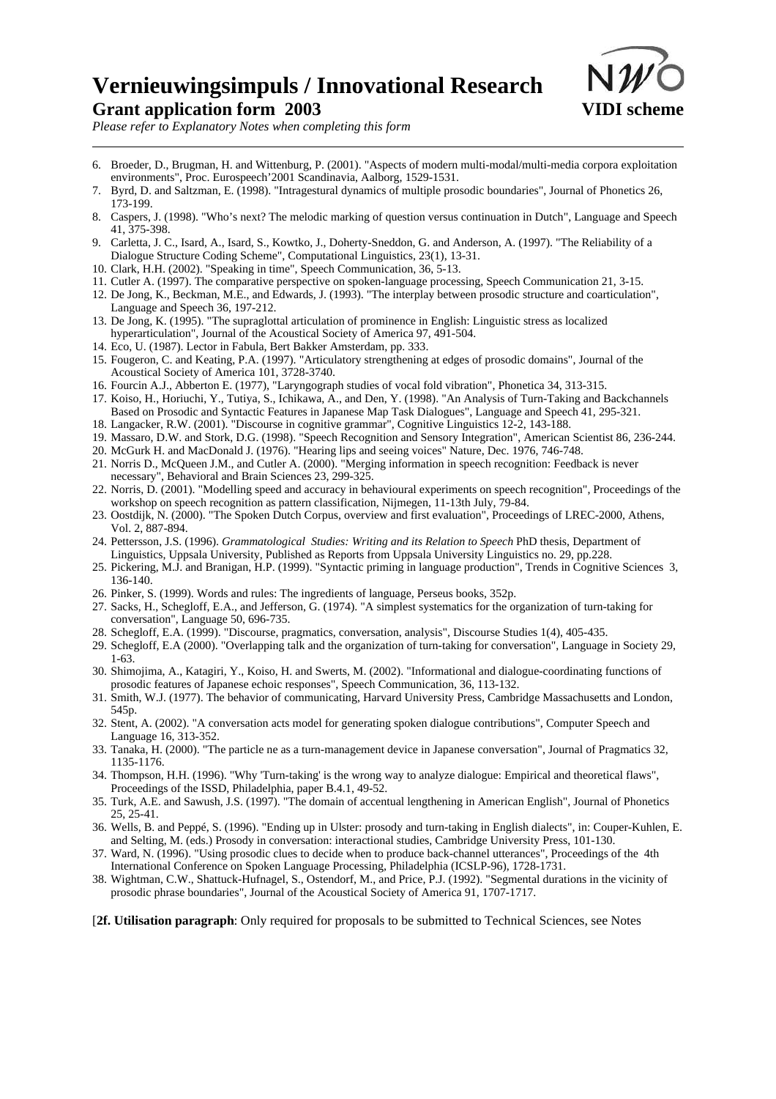

*Please refer to Explanatory Notes when completing this form*

- 6. Broeder, D., Brugman, H. and Wittenburg, P. (2001). "Aspects of modern multi-modal/multi-media corpora exploitation environments", Proc. Eurospeech'2001 Scandinavia, Aalborg, 1529-1531.
- 7. Byrd, D. and Saltzman, E. (1998). "Intragestural dynamics of multiple prosodic boundaries", Journal of Phonetics 26, 173-199.
- 8. Caspers, J. (1998). "Who's next? The melodic marking of question versus continuation in Dutch", Language and Speech 41, 375-398.
- 9. Carletta, J. C., Isard, A., Isard, S., Kowtko, J., Doherty-Sneddon, G. and Anderson, A. (1997). "The Reliability of a Dialogue Structure Coding Scheme", Computational Linguistics, 23(1), 13-31.
- 10. Clark, H.H. (2002). "Speaking in time", Speech Communication, 36, 5-13.
- 11. Cutler A. (1997). The comparative perspective on spoken-language processing, Speech Communication 21, 3-15.
- 12. De Jong, K., Beckman, M.E., and Edwards, J. (1993). "The interplay between prosodic structure and coarticulation", Language and Speech 36, 197-212.
- 13. De Jong, K. (1995). "The supraglottal articulation of prominence in English: Linguistic stress as localized hyperarticulation", Journal of the Acoustical Society of America 97, 491-504.
- 14. Eco, U. (1987). Lector in Fabula, Bert Bakker Amsterdam, pp. 333.
- 15. Fougeron, C. and Keating, P.A. (1997). "Articulatory strengthening at edges of prosodic domains", Journal of the Acoustical Society of America 101, 3728-3740.
- 16. Fourcin A.J., Abberton E. (1977), "Laryngograph studies of vocal fold vibration", Phonetica 34, 313-315.
- 17. Koiso, H., Horiuchi, Y., Tutiya, S., Ichikawa, A., and Den, Y. (1998). "An Analysis of Turn-Taking and Backchannels Based on Prosodic and Syntactic Features in Japanese Map Task Dialogues", Language and Speech 41, 295-321.
- 18. Langacker, R.W. (2001). "Discourse in cognitive grammar", Cognitive Linguistics 12-2, 143-188.
- 19. Massaro, D.W. and Stork, D.G. (1998). "Speech Recognition and Sensory Integration", American Scientist 86, 236-244.
- 20. McGurk H. and MacDonald J. (1976). "Hearing lips and seeing voices" Nature, Dec. 1976, 746-748.
- 21. Norris D., McQueen J.M., and Cutler A. (2000). "Merging information in speech recognition: Feedback is never necessary", Behavioral and Brain Sciences 23, 299-325.
- 22. Norris, D. (2001). "Modelling speed and accuracy in behavioural experiments on speech recognition", Proceedings of the workshop on speech recognition as pattern classification, Nijmegen, 11-13th July, 79-84.
- 23. Oostdijk, N. (2000). "The Spoken Dutch Corpus, overview and first evaluation", Proceedings of LREC-2000, Athens, Vol. 2, 887-894.
- 24. Pettersson, J.S. (1996). *Grammatological Studies: Writing and its Relation to Speech* PhD thesis, Department of Linguistics, Uppsala University, Published as Reports from Uppsala University Linguistics no. 29, pp.228.
- 25. Pickering, M.J. and Branigan, H.P. (1999). "Syntactic priming in language production", Trends in Cognitive Sciences 3, 136-140.
- 26. Pinker, S. (1999). Words and rules: The ingredients of language, Perseus books, 352p.
- 27. Sacks, H., Schegloff, E.A., and Jefferson, G. (1974). "A simplest systematics for the organization of turn-taking for conversation", Language 50, 696-735.
- 28. Schegloff, E.A. (1999). "Discourse, pragmatics, conversation, analysis", Discourse Studies 1(4), 405-435.
- 29. Schegloff, E.A (2000). "Overlapping talk and the organization of turn-taking for conversation", Language in Society 29, 1-63.
- 30. Shimojima, A., Katagiri, Y., Koiso, H. and Swerts, M. (2002). "Informational and dialogue-coordinating functions of prosodic features of Japanese echoic responses", Speech Communication, 36, 113-132.
- 31. Smith, W.J. (1977). The behavior of communicating, Harvard University Press, Cambridge Massachusetts and London, 545p.
- 32. Stent, A. (2002). "A conversation acts model for generating spoken dialogue contributions", Computer Speech and Language 16, 313-352.
- 33. Tanaka, H. (2000). "The particle ne as a turn-management device in Japanese conversation", Journal of Pragmatics 32, 1135-1176.
- 34. Thompson, H.H. (1996). "Why 'Turn-taking' is the wrong way to analyze dialogue: Empirical and theoretical flaws", Proceedings of the ISSD, Philadelphia, paper B.4.1, 49-52.
- 35. Turk, A.E. and Sawush, J.S. (1997). "The domain of accentual lengthening in American English", Journal of Phonetics 25, 25-41.
- 36. Wells, B. and Peppé, S. (1996). "Ending up in Ulster: prosody and turn-taking in English dialects", in: Couper-Kuhlen, E. and Selting, M. (eds.) Prosody in conversation: interactional studies, Cambridge University Press, 101-130.
- 37. Ward, N. (1996). "Using prosodic clues to decide when to produce back-channel utterances", Proceedings of the 4th International Conference on Spoken Language Processing, Philadelphia (ICSLP-96), 1728-1731.
- 38. Wightman, C.W., Shattuck-Hufnagel, S., Ostendorf, M., and Price, P.J. (1992). "Segmental durations in the vicinity of prosodic phrase boundaries", Journal of the Acoustical Society of America 91, 1707-1717.

[**2f. Utilisation paragraph**: Only required for proposals to be submitted to Technical Sciences, see Notes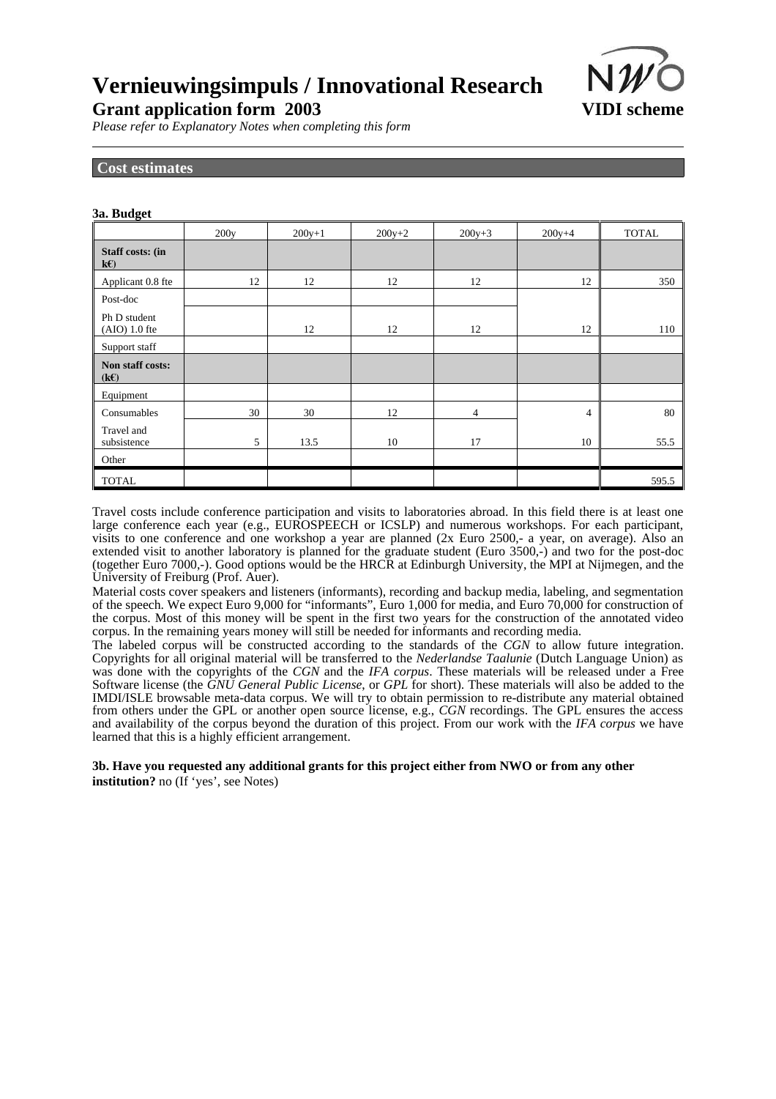

*Please refer to Explanatory Notes when completing this form*

### **Cost estimates**

| 3a. Budget                      |      |          |          |          |                |              |  |
|---------------------------------|------|----------|----------|----------|----------------|--------------|--|
|                                 | 200y | $200y+1$ | $200y+2$ | $200y+3$ | $200y+4$       | <b>TOTAL</b> |  |
| Staff costs: (in<br>$k\epsilon$ |      |          |          |          |                |              |  |
| Applicant 0.8 fte               | 12   | 12       | 12       | 12       | 12             | 350          |  |
| Post-doc                        |      |          |          |          |                |              |  |
| Ph D student<br>$(AIO) 1.0$ fte |      | 12       | 12       | 12       | 12             | 110          |  |
| Support staff                   |      |          |          |          |                |              |  |
| Non staff costs:<br>(kE)        |      |          |          |          |                |              |  |
| Equipment                       |      |          |          |          |                |              |  |
| Consumables                     | 30   | 30       | 12       | 4        | $\overline{4}$ | 80           |  |
| Travel and<br>subsistence       | 5    | 13.5     | 10       | 17       | 10             | 55.5         |  |
| Other                           |      |          |          |          |                |              |  |
| <b>TOTAL</b>                    |      |          |          |          |                | 595.5        |  |

Travel costs include conference participation and visits to laboratories abroad. In this field there is at least one large conference each year (e.g., EUROSPEECH or ICSLP) and numerous workshops. For each participant, visits to one conference and one workshop a year are planned (2x Euro 2500,- a year, on average). Also an extended visit to another laboratory is planned for the graduate student (Euro 3500,-) and two for the post-doc (together Euro 7000,-). Good options would be the HRCR at Edinburgh University, the MPI at Nijmegen, and the University of Freiburg (Prof. Auer).

Material costs cover speakers and listeners (informants), recording and backup media, labeling, and segmentation of the speech. We expect Euro 9,000 for "informants", Euro 1,000 for media, and Euro 70,000 for construction of the corpus. Most of this money will be spent in the first two years for the construction of the annotated video corpus. In the remaining years money will still be needed for informants and recording media.

The labeled corpus will be constructed according to the standards of the *CGN* to allow future integration. Copyrights for all original material will be transferred to the *Nederlandse Taalunie* (Dutch Language Union) as was done with the copyrights of the *CGN* and the *IFA corpus*. These materials will be released under a Free Software license (the *GNU General Public License*, or *GPL* for short). These materials will also be added to the IMDI/ISLE browsable meta-data corpus. We will try to obtain permission to re-distribute any material obtained from others under the GPL or another open source license, e.g., *CGN* recordings. The GPL ensures the access and availability of the corpus beyond the duration of this project. From our work with the *IFA corpus* we have learned that this is a highly efficient arrangement.

**3b. Have you requested any additional grants for this project either from NWO or from any other institution?** no (If 'yes', see Notes)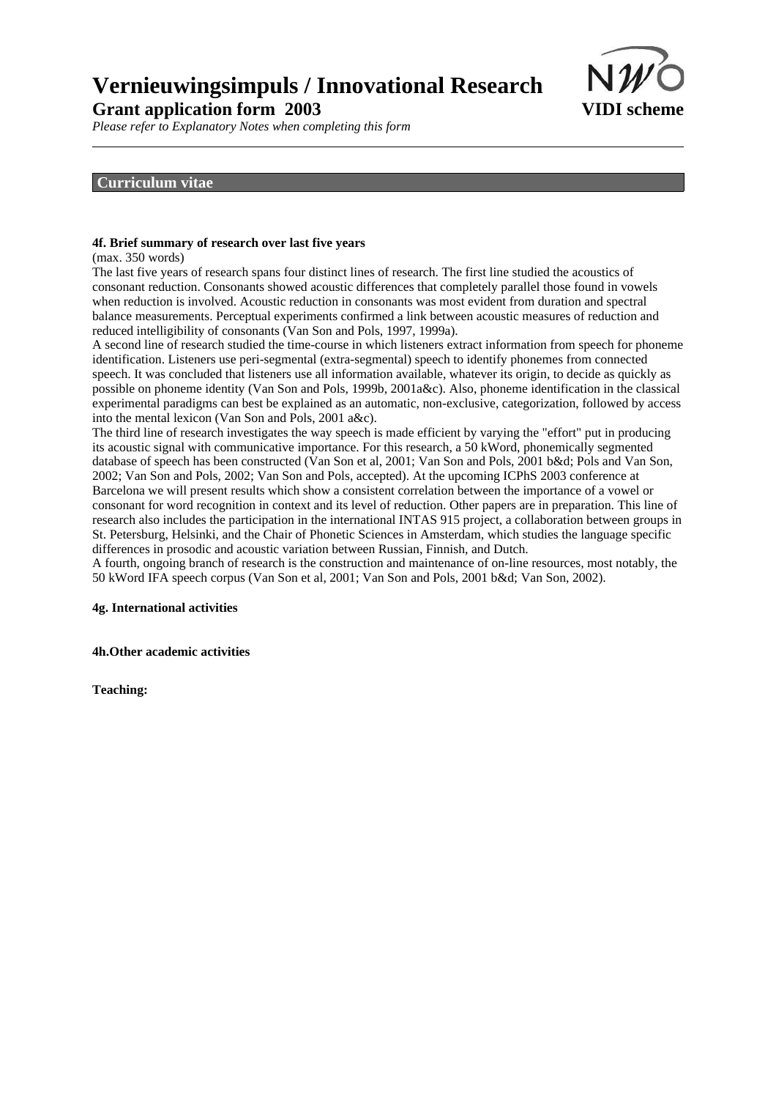

*Please refer to Explanatory Notes when completing this form*

### **Curriculum vitae**

### **4f. Brief summary of research over last five years**

(max. 350 words)

The last five years of research spans four distinct lines of research. The first line studied the acoustics of consonant reduction. Consonants showed acoustic differences that completely parallel those found in vowels when reduction is involved. Acoustic reduction in consonants was most evident from duration and spectral balance measurements. Perceptual experiments confirmed a link between acoustic measures of reduction and reduced intelligibility of consonants (Van Son and Pols, 1997, 1999a).

A second line of research studied the time-course in which listeners extract information from speech for phoneme identification. Listeners use peri-segmental (extra-segmental) speech to identify phonemes from connected speech. It was concluded that listeners use all information available, whatever its origin, to decide as quickly as possible on phoneme identity (Van Son and Pols, 1999b, 2001a&c). Also, phoneme identification in the classical experimental paradigms can best be explained as an automatic, non-exclusive, categorization, followed by access into the mental lexicon (Van Son and Pols, 2001 a&c).

The third line of research investigates the way speech is made efficient by varying the "effort" put in producing its acoustic signal with communicative importance. For this research, a 50 kWord, phonemically segmented database of speech has been constructed (Van Son et al, 2001; Van Son and Pols, 2001 b&d; Pols and Van Son, 2002; Van Son and Pols, 2002; Van Son and Pols, accepted). At the upcoming ICPhS 2003 conference at Barcelona we will present results which show a consistent correlation between the importance of a vowel or consonant for word recognition in context and its level of reduction. Other papers are in preparation. This line of research also includes the participation in the international INTAS 915 project, a collaboration between groups in St. Petersburg, Helsinki, and the Chair of Phonetic Sciences in Amsterdam, which studies the language specific differences in prosodic and acoustic variation between Russian, Finnish, and Dutch.

A fourth, ongoing branch of research is the construction and maintenance of on-line resources, most notably, the 50 kWord IFA speech corpus (Van Son et al, 2001; Van Son and Pols, 2001 b&d; Van Son, 2002).

#### **4g. International activities**

**4h.Other academic activities**

**Teaching:**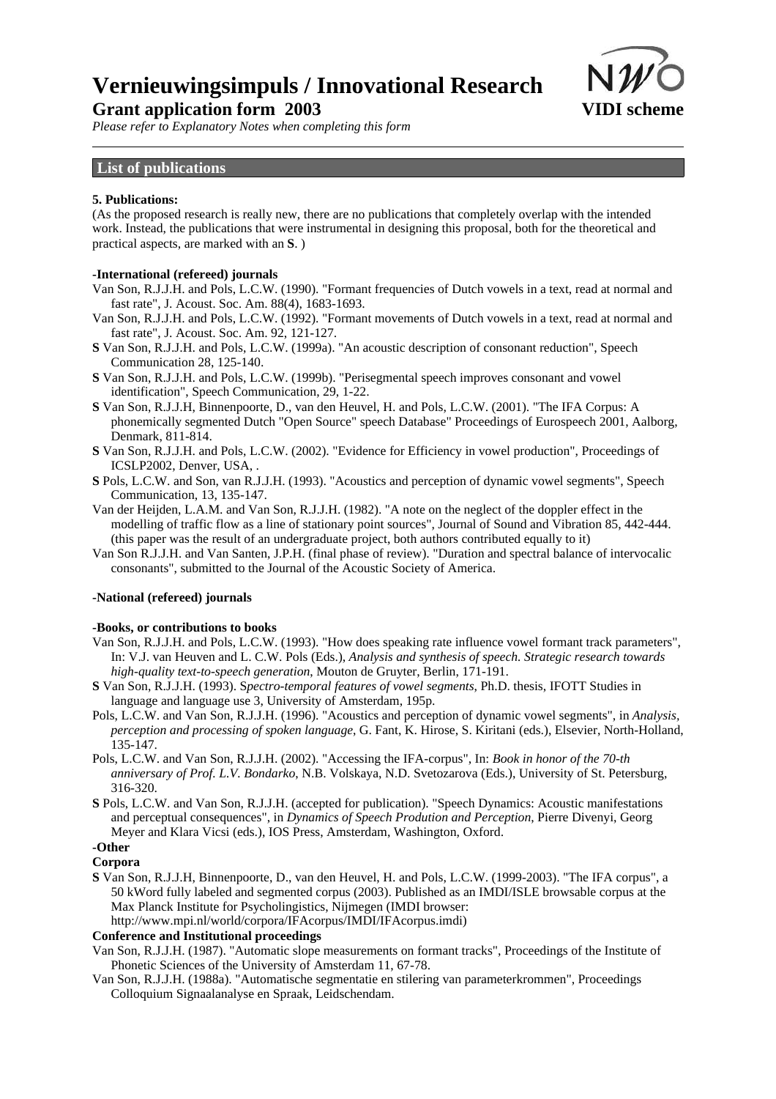

*Please refer to Explanatory Notes when completing this form*

## **List of publications**

#### **5. Publications:**

(As the proposed research is really new, there are no publications that completely overlap with the intended work. Instead, the publications that were instrumental in designing this proposal, both for the theoretical and practical aspects, are marked with an **S**. )

#### **-International (refereed) journals**

- Van Son, R.J.J.H. and Pols, L.C.W. (1990). "Formant frequencies of Dutch vowels in a text, read at normal and fast rate", J. Acoust. Soc. Am. 88(4), 1683-1693.
- Van Son, R.J.J.H. and Pols, L.C.W. (1992). "Formant movements of Dutch vowels in a text, read at normal and fast rate", J. Acoust. Soc. Am. 92, 121-127.
- **S** Van Son, R.J.J.H. and Pols, L.C.W. (1999a). "An acoustic description of consonant reduction", Speech Communication 28, 125-140.
- **S** Van Son, R.J.J.H. and Pols, L.C.W. (1999b). "Perisegmental speech improves consonant and vowel identification", Speech Communication, 29, 1-22.
- **S** Van Son, R.J.J.H, Binnenpoorte, D., van den Heuvel, H. and Pols, L.C.W. (2001). "The IFA Corpus: A phonemically segmented Dutch "Open Source" speech Database" Proceedings of Eurospeech 2001, Aalborg, Denmark, 811-814.
- **S** Van Son, R.J.J.H. and Pols, L.C.W. (2002). "Evidence for Efficiency in vowel production", Proceedings of ICSLP2002, Denver, USA, .
- **S** Pols, L.C.W. and Son, van R.J.J.H. (1993). "Acoustics and perception of dynamic vowel segments", Speech Communication, 13, 135-147.
- Van der Heijden, L.A.M. and Van Son, R.J.J.H. (1982). "A note on the neglect of the doppler effect in the modelling of traffic flow as a line of stationary point sources", Journal of Sound and Vibration 85, 442-444. (this paper was the result of an undergraduate project, both authors contributed equally to it)
- Van Son R.J.J.H. and Van Santen, J.P.H. (final phase of review). "Duration and spectral balance of intervocalic consonants", submitted to the Journal of the Acoustic Society of America.

#### **-National (refereed) journals**

#### **-Books, or contributions to books**

- Van Son, R.J.J.H. and Pols, L.C.W. (1993). "How does speaking rate influence vowel formant track parameters", In: V.J. van Heuven and L. C.W. Pols (Eds.), *Analysis and synthesis of speech. Strategic research towards high-quality text-to-speech generation*, Mouton de Gruyter, Berlin, 171-191.
- **S** Van Son, R.J.J.H. (1993). S*pectro-temporal features of vowel segments*, Ph.D. thesis, IFOTT Studies in language and language use 3, University of Amsterdam, 195p.
- Pols, L.C.W. and Van Son, R.J.J.H. (1996). "Acoustics and perception of dynamic vowel segments", in *Analysis, perception and processing of spoken language*, G. Fant, K. Hirose, S. Kiritani (eds.), Elsevier, North-Holland, 135-147.
- Pols, L.C.W. and Van Son, R.J.J.H. (2002). "Accessing the IFA-corpus", In: *Book in honor of the 70-th anniversary of Prof. L.V. Bondarko*, N.B. Volskaya, N.D. Svetozarova (Eds.), University of St. Petersburg, 316-320.
- **S** Pols, L.C.W. and Van Son, R.J.J.H. (accepted for publication). "Speech Dynamics: Acoustic manifestations and perceptual consequences", in *Dynamics of Speech Prodution and Perception*, Pierre Divenyi, Georg Meyer and Klara Vicsi (eds.), IOS Press, Amsterdam, Washington, Oxford.

## **-Other**

## **Corpora**

**S** Van Son, R.J.J.H, Binnenpoorte, D., van den Heuvel, H. and Pols, L.C.W. (1999-2003). "The IFA corpus", a 50 kWord fully labeled and segmented corpus (2003). Published as an IMDI/ISLE browsable corpus at the Max Planck Institute for Psycholingistics, Nijmegen (IMDI browser: http://www.mpi.nl/world/corpora/IFAcorpus/IMDI/IFAcorpus.imdi)

#### **Conference and Institutional proceedings**

- Van Son, R.J.J.H. (1987). "Automatic slope measurements on formant tracks", Proceedings of the Institute of Phonetic Sciences of the University of Amsterdam 11, 67-78.
- Van Son, R.J.J.H. (1988a). "Automatische segmentatie en stilering van parameterkrommen", Proceedings Colloquium Signaalanalyse en Spraak, Leidschendam.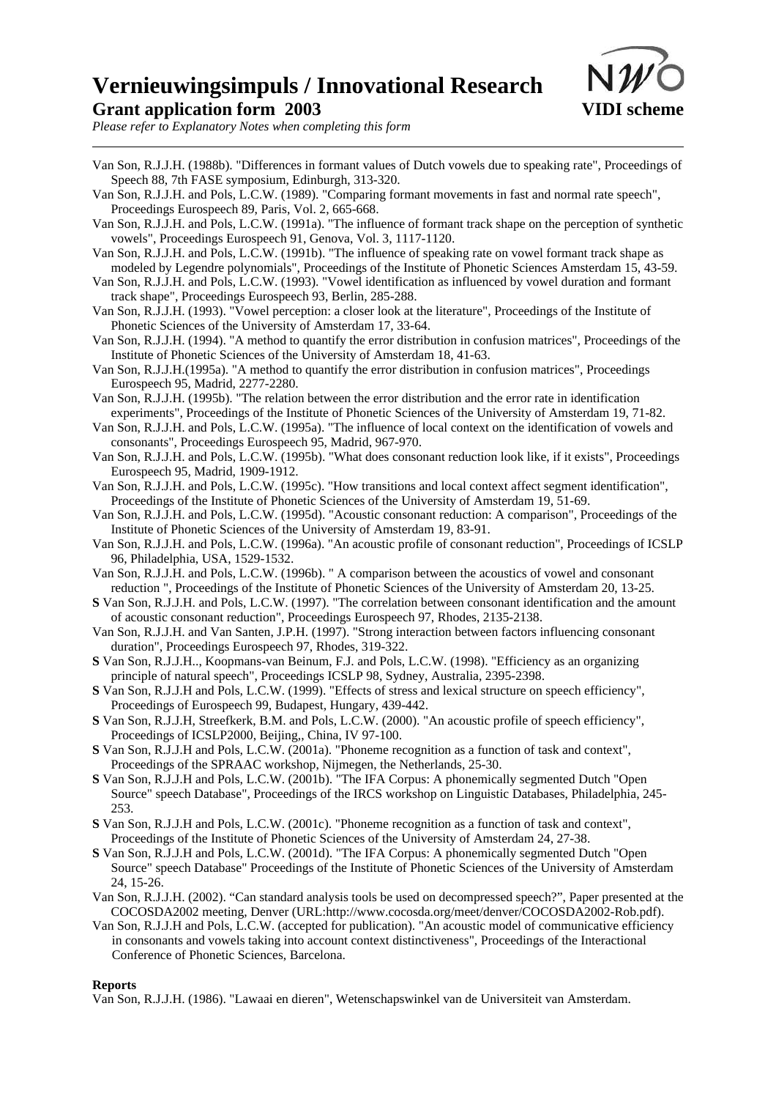

*Please refer to Explanatory Notes when completing this form*

- Van Son, R.J.J.H. (1988b). "Differences in formant values of Dutch vowels due to speaking rate", Proceedings of Speech 88, 7th FASE symposium, Edinburgh, 313-320.
- Van Son, R.J.J.H. and Pols, L.C.W. (1989). "Comparing formant movements in fast and normal rate speech", Proceedings Eurospeech 89, Paris, Vol. 2, 665-668.
- Van Son, R.J.J.H. and Pols, L.C.W. (1991a). "The influence of formant track shape on the perception of synthetic vowels", Proceedings Eurospeech 91, Genova, Vol. 3, 1117-1120.
- Van Son, R.J.J.H. and Pols, L.C.W. (1991b). "The influence of speaking rate on vowel formant track shape as modeled by Legendre polynomials", Proceedings of the Institute of Phonetic Sciences Amsterdam 15, 43-59.
- Van Son, R.J.J.H. and Pols, L.C.W. (1993). "Vowel identification as influenced by vowel duration and formant track shape", Proceedings Eurospeech 93, Berlin, 285-288.
- Van Son, R.J.J.H. (1993). "Vowel perception: a closer look at the literature", Proceedings of the Institute of Phonetic Sciences of the University of Amsterdam 17, 33-64.
- Van Son, R.J.J.H. (1994). "A method to quantify the error distribution in confusion matrices", Proceedings of the Institute of Phonetic Sciences of the University of Amsterdam 18, 41-63.
- Van Son, R.J.J.H.(1995a). "A method to quantify the error distribution in confusion matrices", Proceedings Eurospeech 95, Madrid, 2277-2280.
- Van Son, R.J.J.H. (1995b). "The relation between the error distribution and the error rate in identification experiments", Proceedings of the Institute of Phonetic Sciences of the University of Amsterdam 19, 71-82.
- Van Son, R.J.J.H. and Pols, L.C.W. (1995a). "The influence of local context on the identification of vowels and consonants", Proceedings Eurospeech 95, Madrid, 967-970.
- Van Son, R.J.J.H. and Pols, L.C.W. (1995b). "What does consonant reduction look like, if it exists", Proceedings Eurospeech 95, Madrid, 1909-1912.
- Van Son, R.J.J.H. and Pols, L.C.W. (1995c). "How transitions and local context affect segment identification", Proceedings of the Institute of Phonetic Sciences of the University of Amsterdam 19, 51-69.
- Van Son, R.J.J.H. and Pols, L.C.W. (1995d). "Acoustic consonant reduction: A comparison", Proceedings of the Institute of Phonetic Sciences of the University of Amsterdam 19, 83-91.
- Van Son, R.J.J.H. and Pols, L.C.W. (1996a). "An acoustic profile of consonant reduction", Proceedings of ICSLP 96, Philadelphia, USA, 1529-1532.
- Van Son, R.J.J.H. and Pols, L.C.W. (1996b). " A comparison between the acoustics of vowel and consonant reduction ", Proceedings of the Institute of Phonetic Sciences of the University of Amsterdam 20, 13-25.
- **S** Van Son, R.J.J.H. and Pols, L.C.W. (1997). "The correlation between consonant identification and the amount of acoustic consonant reduction", Proceedings Eurospeech 97, Rhodes, 2135-2138.
- Van Son, R.J.J.H. and Van Santen, J.P.H. (1997). "Strong interaction between factors influencing consonant duration", Proceedings Eurospeech 97, Rhodes, 319-322.
- **S** Van Son, R.J.J.H.., Koopmans-van Beinum, F.J. and Pols, L.C.W. (1998). "Efficiency as an organizing principle of natural speech", Proceedings ICSLP 98, Sydney, Australia, 2395-2398.
- **S** Van Son, R.J.J.H and Pols, L.C.W. (1999). "Effects of stress and lexical structure on speech efficiency", Proceedings of Eurospeech 99, Budapest, Hungary, 439-442.
- **S** Van Son, R.J.J.H, Streefkerk, B.M. and Pols, L.C.W. (2000). "An acoustic profile of speech efficiency", Proceedings of ICSLP2000, Beijing,, China, IV 97-100.
- **S** Van Son, R.J.J.H and Pols, L.C.W. (2001a). "Phoneme recognition as a function of task and context", Proceedings of the SPRAAC workshop, Nijmegen, the Netherlands, 25-30.
- **S** Van Son, R.J.J.H and Pols, L.C.W. (2001b). "The IFA Corpus: A phonemically segmented Dutch "Open Source" speech Database", Proceedings of the IRCS workshop on Linguistic Databases, Philadelphia, 245- 253.
- **S** Van Son, R.J.J.H and Pols, L.C.W. (2001c). "Phoneme recognition as a function of task and context", Proceedings of the Institute of Phonetic Sciences of the University of Amsterdam 24, 27-38.
- **S** Van Son, R.J.J.H and Pols, L.C.W. (2001d). "The IFA Corpus: A phonemically segmented Dutch "Open Source" speech Database" Proceedings of the Institute of Phonetic Sciences of the University of Amsterdam 24, 15-26.
- Van Son, R.J.J.H. (2002). "Can standard analysis tools be used on decompressed speech?", Paper presented at the COCOSDA2002 meeting, Denver (URL:http://www.cocosda.org/meet/denver/COCOSDA2002-Rob.pdf).
- Van Son, R.J.J.H and Pols, L.C.W. (accepted for publication). "An acoustic model of communicative efficiency in consonants and vowels taking into account context distinctiveness", Proceedings of the Interactional Conference of Phonetic Sciences, Barcelona.

### **Reports**

Van Son, R.J.J.H. (1986). "Lawaai en dieren", Wetenschapswinkel van de Universiteit van Amsterdam.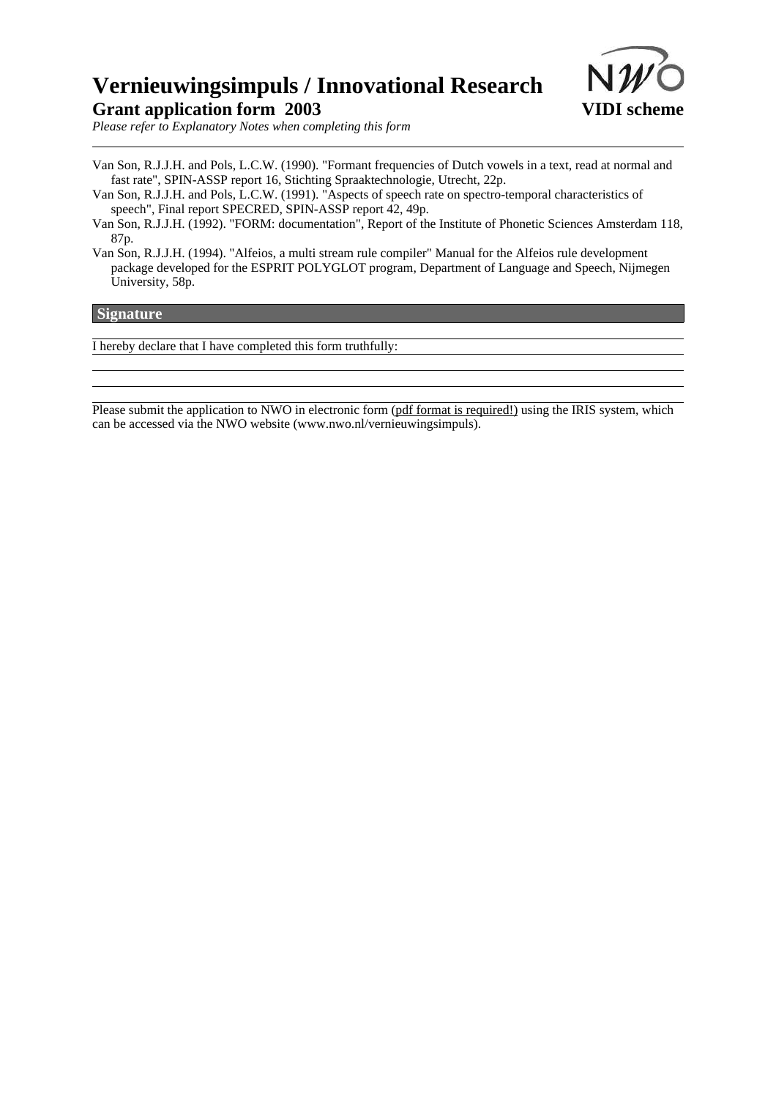

*Please refer to Explanatory Notes when completing this form*

- Van Son, R.J.J.H. and Pols, L.C.W. (1990). "Formant frequencies of Dutch vowels in a text, read at normal and fast rate", SPIN-ASSP report 16, Stichting Spraaktechnologie, Utrecht, 22p.
- Van Son, R.J.J.H. and Pols, L.C.W. (1991). "Aspects of speech rate on spectro-temporal characteristics of speech", Final report SPECRED, SPIN-ASSP report 42, 49p.

Van Son, R.J.J.H. (1992). "FORM: documentation", Report of the Institute of Phonetic Sciences Amsterdam 118, 87p.

Van Son, R.J.J.H. (1994). "Alfeios, a multi stream rule compiler" Manual for the Alfeios rule development package developed for the ESPRIT POLYGLOT program, Department of Language and Speech, Nijmegen University, 58p.

### **Signature**

I hereby declare that I have completed this form truthfully:

Please submit the application to NWO in electronic form (pdf format is required!) using the IRIS system, which can be accessed via the NWO website (www.nwo.nl/vernieuwingsimpuls).